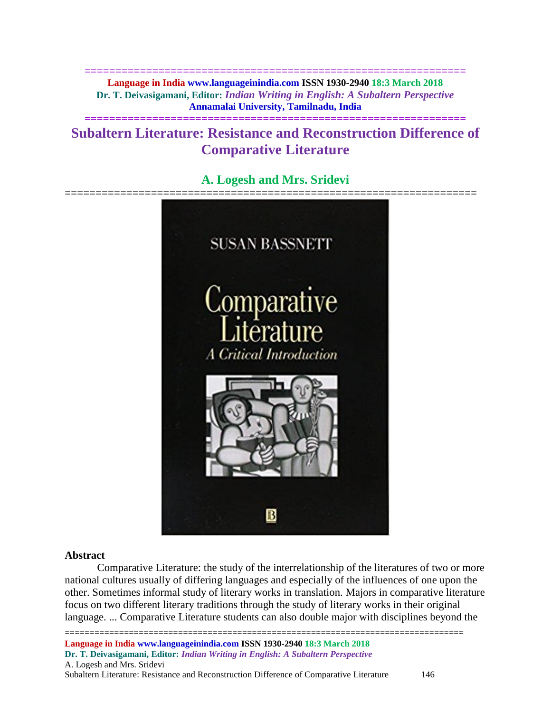**============================================================== Language in India www.languageinindia.com ISSN 1930-2940 18:3 March 2018 Dr. T. Deivasigamani, Editor:** *Indian Writing in English: A Subaltern Perspective* **Annamalai University, Tamilnadu, India**

# **Subaltern Literature: Resistance and Reconstruction Difference of Comparative Literature**

**==============================================================**

# **A. Logesh and Mrs. Sridevi**



#### **Abstract**

Comparative Literature: the study of the interrelationship of the literatures of two or more national cultures usually of differing languages and especially of the influences of one upon the other. Sometimes informal study of literary works in translation. Majors in comparative literature focus on two different literary traditions through the study of literary works in their original language. ... Comparative Literature students can also double major with disciplines beyond the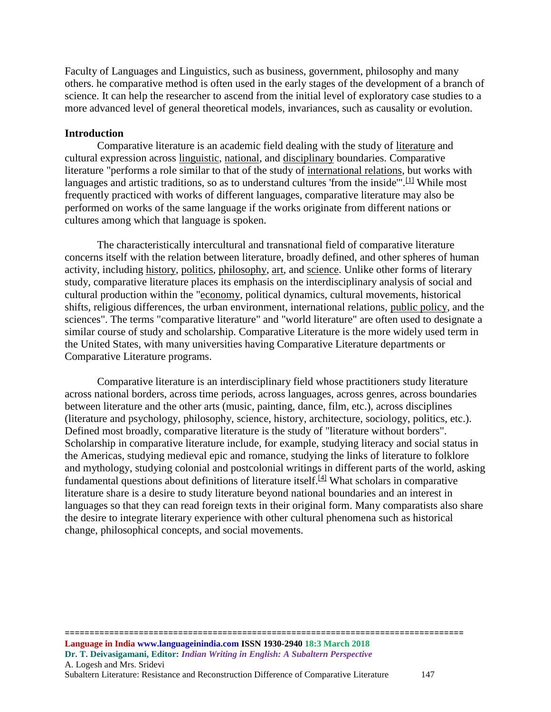Faculty of Languages and Linguistics, such as business, government, philosophy and many others. he comparative method is often used in the early stages of the development of a branch of science. It can help the researcher to ascend from the initial level of exploratory case studies to a more advanced level of general theoretical models, invariances, such as causality or evolution.

#### **Introduction**

Comparative literature is an academic field dealing with the study of [literature](https://en.wikipedia.org/wiki/Literature) and cultural expression across [linguistic,](https://en.wikipedia.org/wiki/Language) [national,](https://en.wikipedia.org/wiki/Nation) and [disciplinary](https://en.wikipedia.org/wiki/Discipline) boundaries. Comparative literature "performs a role similar to that of the study of [international relations,](https://en.wikipedia.org/wiki/International_relations) but works with languages and artistic traditions, so as to understand cultures 'from the inside".<sup>[\[1\]](https://en.wikipedia.org/wiki/Comparative_literature#cite_note-1)</sup> While most frequently practiced with works of different languages, comparative literature may also be performed on works of the same language if the works originate from different nations or cultures among which that language is spoken.

The characteristically intercultural and transnational field of comparative literature concerns itself with the relation between literature, broadly defined, and other spheres of human activity, including [history,](https://en.wikipedia.org/wiki/History) [politics,](https://en.wikipedia.org/wiki/Politics) [philosophy,](https://en.wikipedia.org/wiki/Philosophy) [art,](https://en.wikipedia.org/wiki/Art) and [science.](https://en.wikipedia.org/wiki/Science) Unlike other forms of literary study, comparative literature places its emphasis on the interdisciplinary analysis of social and cultural production within the ["economy,](https://en.wikipedia.org/wiki/Economy) political dynamics, cultural movements, historical shifts, religious differences, the urban environment, international relations, [public policy,](https://en.wikipedia.org/wiki/Public_policy) and the sciences". The terms "comparative literature" and "world literature" are often used to designate a similar course of study and scholarship. Comparative Literature is the more widely used term in the United States, with many universities having Comparative Literature departments or Comparative Literature programs.

Comparative literature is an interdisciplinary field whose practitioners study literature across national borders, across time periods, across languages, across genres, across boundaries between literature and the other arts (music, painting, dance, film, etc.), across disciplines (literature and psychology, philosophy, science, history, architecture, sociology, politics, etc.). Defined most broadly, comparative literature is the study of "literature without borders". Scholarship in comparative literature include, for example, studying literacy and social status in the Americas, studying medieval epic and romance, studying the links of literature to folklore and mythology, studying colonial and postcolonial writings in different parts of the world, asking fundamental questions about definitions of literature itself.<sup>[\[4\]](https://en.wikipedia.org/wiki/Comparative_literature#cite_note-4)</sup> What scholars in comparative literature share is a desire to study literature beyond national boundaries and an interest in languages so that they can read foreign texts in their original form. Many comparatists also share the desire to integrate literary experience with other cultural phenomena such as historical change, philosophical concepts, and social movements.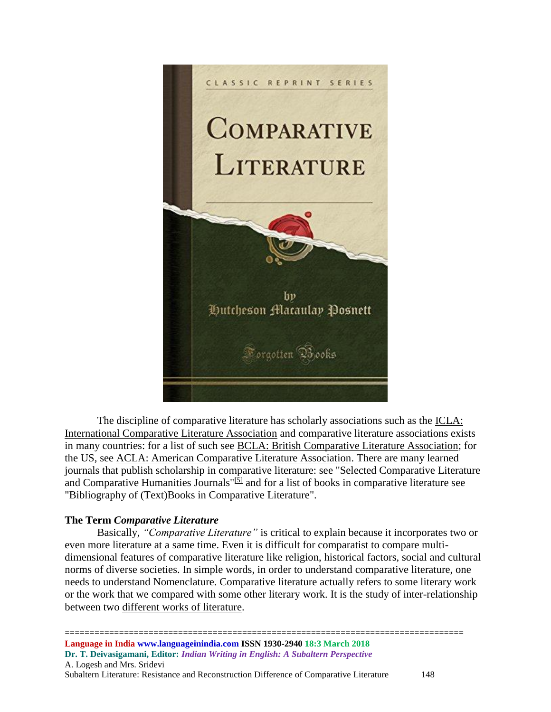

The discipline of comparative literature has scholarly associations such as the [ICLA:](http://www.ailc-icla.org/site/)  [International Comparative Literature Association](http://www.ailc-icla.org/site/) and comparative literature associations exists in many countries: for a list of such see [BCLA: British Comparative Literature Association;](https://web.archive.org/web/20070206071440/http:/www.bcla.org/index.htm) for the US, see [ACLA: American Comparative Literature Association.](http://www.acla.org/) There are many learned journals that publish scholarship in comparative literature: see "Selected Comparative Literature and Comparative Humanities Journals<sup>"[\[5\]](https://en.wikipedia.org/wiki/Comparative_literature#cite_note-5)</sup> and for a list of books in comparative literature see "Bibliography of (Text)Books in Comparative Literature".

# **The Term** *Comparative Literature*

Basically, *"Comparative Literature"* is critical to explain because it incorporates two or even more literature at a same time. Even it is difficult for comparatist to compare multidimensional features of comparative literature like religion, historical factors, social and cultural norms of diverse societies. In simple words, in order to understand comparative literature, one needs to understand Nomenclature. Comparative literature actually refers to some literary work or the work that we compared with some other literary work. It is the study of inter-relationship between two [different works of literature.](http://www.writeawriting.com/academic-writing/modernism-in-literature/)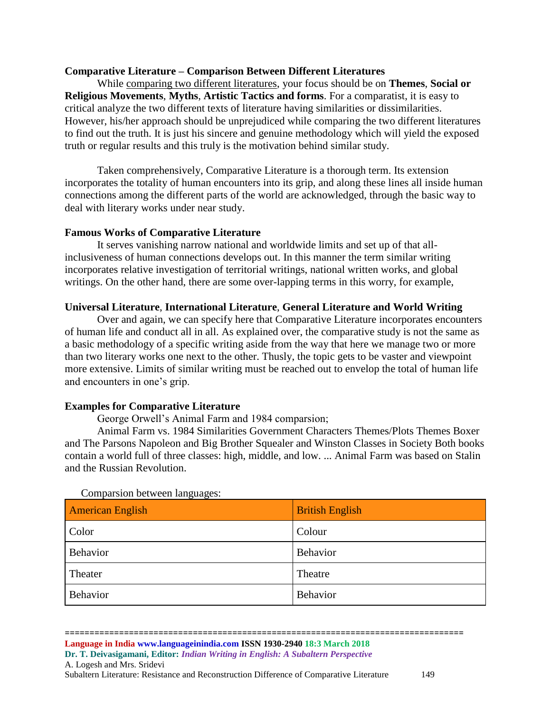### **Comparative Literature – Comparison Between Different Literatures**

While [comparing two different literatures,](http://www.writeawriting.com/academic-writing/write-literature-review/) your focus should be on **Themes**, **Social or Religious Movements**, **Myths**, **Artistic Tactics and forms**. For a comparatist, it is easy to critical analyze the two different texts of literature having similarities or dissimilarities. However, his/her approach should be unprejudiced while comparing the two different literatures to find out the truth. It is just his sincere and genuine methodology which will yield the exposed truth or regular results and this truly is the motivation behind similar study.

Taken comprehensively, Comparative Literature is a thorough term. Its extension incorporates the totality of human encounters into its grip, and along these lines all inside human connections among the different parts of the world are acknowledged, through the basic way to deal with literary works under near study.

### **Famous Works of Comparative Literature**

It serves vanishing narrow national and worldwide limits and set up of that allinclusiveness of human connections develops out. In this manner the term similar writing incorporates relative investigation of territorial writings, national written works, and global writings. On the other hand, there are some over-lapping terms in this worry, for example,

### **Universal Literature**, **International Literature**, **General Literature and World Writing**

Over and again, we can specify here that Comparative Literature incorporates encounters of human life and conduct all in all. As explained over, the comparative study is not the same as a basic methodology of a specific writing aside from the way that here we manage two or more than two literary works one next to the other. Thusly, the topic gets to be vaster and viewpoint more extensive. Limits of similar writing must be reached out to envelop the total of human life and encounters in one's grip.

#### **Examples for Comparative Literature**

George Orwell's Animal Farm and 1984 comparsion;

Animal Farm vs. 1984 Similarities Government Characters Themes/Plots Themes Boxer and The Parsons Napoleon and Big Brother Squealer and Winston Classes in Society Both books contain a world full of three classes: high, middle, and low. ... Animal Farm was based on Stalin and the Russian Revolution.

| <b>American English</b> | <b>British English</b> |
|-------------------------|------------------------|
| Color                   | Colour                 |
| Behavior                | Behavior               |
| Theater                 | Theatre                |
| Behavior                | Behavior               |

Comparsion between languages: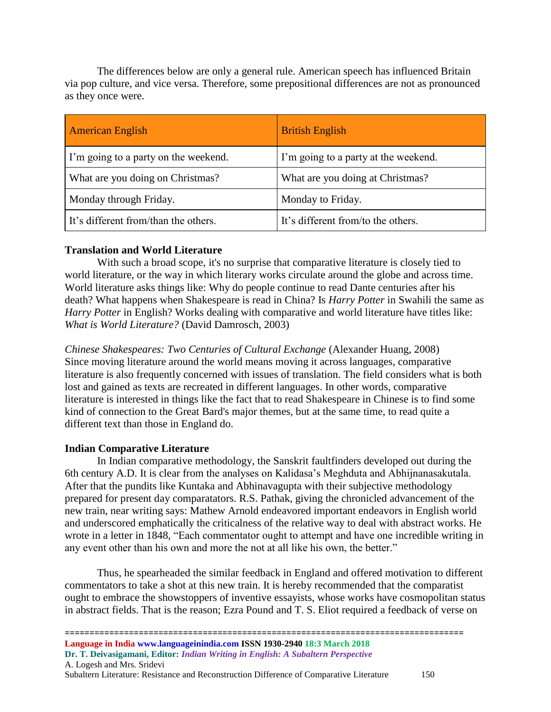The differences below are only a general rule. American speech has influenced Britain via pop culture, and vice versa. Therefore, some prepositional differences are not as pronounced as they once were.

| <b>American English</b>              | <b>British English</b>               |
|--------------------------------------|--------------------------------------|
| I'm going to a party on the weekend. | I'm going to a party at the weekend. |
| What are you doing on Christmas?     | What are you doing at Christmas?     |
| Monday through Friday.               | Monday to Friday.                    |
| It's different from/than the others. | It's different from/to the others.   |

# **Translation and World Literature**

With such a broad scope, it's no surprise that comparative literature is closely tied to world literature, or the way in which literary works circulate around the globe and across time. World literature asks things like: Why do people continue to read Dante centuries after his death? What happens when Shakespeare is read in China? Is *Harry Potter* in Swahili the same as *Harry Potter* in English? Works dealing with comparative and world literature have titles like: *What is World Literature?* (David Damrosch, 2003)

*Chinese Shakespeares: Two Centuries of Cultural Exchange* (Alexander Huang, 2008) Since moving literature around the world means moving it across languages, comparative literature is also frequently concerned with issues of translation. The field considers what is both lost and gained as texts are recreated in different languages. In other words, comparative literature is interested in things like the fact that to read Shakespeare in Chinese is to find some kind of connection to the Great Bard's major themes, but at the same time, to read quite a different text than those in England do.

# **Indian Comparative Literature**

In Indian comparative methodology, the Sanskrit faultfinders developed out during the 6th century A.D. It is clear from the analyses on Kalidasa's Meghduta and Abhijnanasakutala. After that the pundits like Kuntaka and Abhinavagupta with their subjective methodology prepared for present day comparatators. R.S. Pathak, giving the chronicled advancement of the new train, near writing says: Mathew Arnold endeavored important endeavors in English world and underscored emphatically the criticalness of the relative way to deal with abstract works. He wrote in a letter in 1848, "Each commentator ought to attempt and have one incredible writing in any event other than his own and more the not at all like his own, the better."

Thus, he spearheaded the similar feedback in England and offered motivation to different commentators to take a shot at this new train. It is hereby recommended that the comparatist ought to embrace the showstoppers of inventive essayists, whose works have cosmopolitan status in abstract fields. That is the reason; Ezra Pound and T. S. Eliot required a feedback of verse on